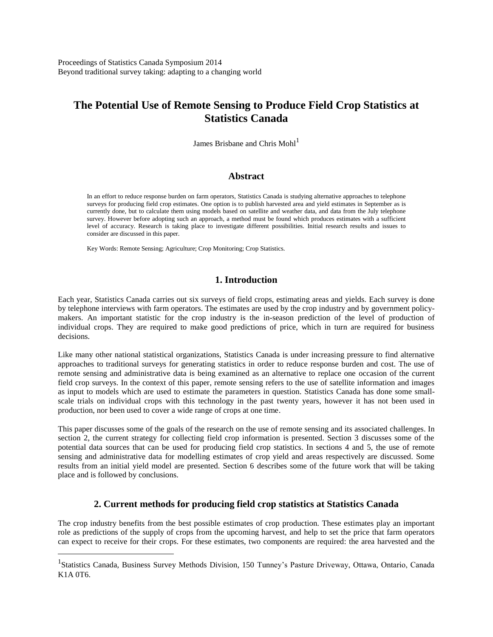Proceedings of Statistics Canada Symposium 2014 Beyond traditional survey taking: adapting to a changing world

# **The Potential Use of Remote Sensing to Produce Field Crop Statistics at Statistics Canada**

James Brisbane and Chris Mohl<sup>1</sup>

### **Abstract**

In an effort to reduce response burden on farm operators, Statistics Canada is studying alternative approaches to telephone surveys for producing field crop estimates. One option is to publish harvested area and yield estimates in September as is currently done, but to calculate them using models based on satellite and weather data, and data from the July telephone survey. However before adopting such an approach, a method must be found which produces estimates with a sufficient level of accuracy. Research is taking place to investigate different possibilities. Initial research results and issues to consider are discussed in this paper.

Key Words: Remote Sensing; Agriculture; Crop Monitoring; Crop Statistics.

 $\overline{a}$ 

## **1. Introduction**

Each year, Statistics Canada carries out six surveys of field crops, estimating areas and yields. Each survey is done by telephone interviews with farm operators. The estimates are used by the crop industry and by government policymakers. An important statistic for the crop industry is the in-season prediction of the level of production of individual crops. They are required to make good predictions of price, which in turn are required for business decisions.

Like many other national statistical organizations, Statistics Canada is under increasing pressure to find alternative approaches to traditional surveys for generating statistics in order to reduce response burden and cost. The use of remote sensing and administrative data is being examined as an alternative to replace one occasion of the current field crop surveys. In the context of this paper, remote sensing refers to the use of satellite information and images as input to models which are used to estimate the parameters in question. Statistics Canada has done some smallscale trials on individual crops with this technology in the past twenty years, however it has not been used in production, nor been used to cover a wide range of crops at one time.

This paper discusses some of the goals of the research on the use of remote sensing and its associated challenges. In section 2, the current strategy for collecting field crop information is presented. Section 3 discusses some of the potential data sources that can be used for producing field crop statistics. In sections 4 and 5, the use of remote sensing and administrative data for modelling estimates of crop yield and areas respectively are discussed. Some results from an initial yield model are presented. Section 6 describes some of the future work that will be taking place and is followed by conclusions.

### **2. Current methods for producing field crop statistics at Statistics Canada**

The crop industry benefits from the best possible estimates of crop production. These estimates play an important role as predictions of the supply of crops from the upcoming harvest, and help to set the price that farm operators can expect to receive for their crops. For these estimates, two components are required: the area harvested and the

<sup>&</sup>lt;sup>1</sup>Statistics Canada, Business Survey Methods Division, 150 Tunney's Pasture Driveway, Ottawa, Ontario, Canada K1A 0T6.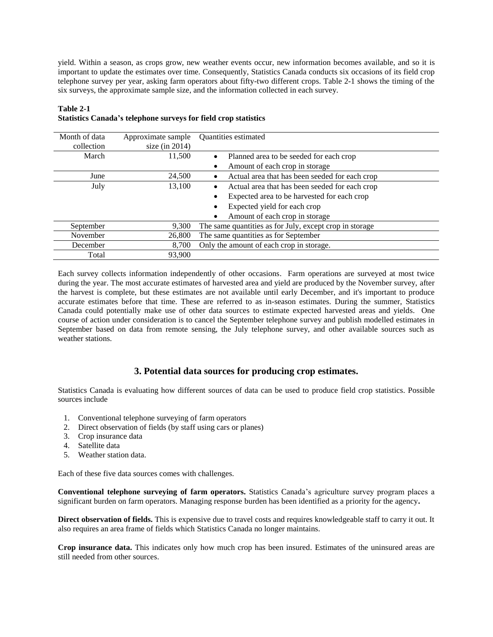yield. Within a season, as crops grow, new weather events occur, new information becomes available, and so it is important to update the estimates over time. Consequently, Statistics Canada conducts six occasions of its field crop telephone survey per year, asking farm operators about fifty-two different crops. Table 2-1 shows the timing of the six surveys, the approximate sample size, and the information collected in each survey.

| Month of data<br>collection | Approximate sample<br>size (in $2014$ ) | <b>Ouantities estimated</b>                                 |
|-----------------------------|-----------------------------------------|-------------------------------------------------------------|
| March                       | 11,500                                  | Planned area to be seeded for each crop<br>$\bullet$        |
|                             |                                         | Amount of each crop in storage<br>٠                         |
| June                        | 24,500                                  | Actual area that has been seeded for each crop<br>$\bullet$ |
| July                        | 13,100                                  | Actual area that has been seeded for each crop<br>$\bullet$ |
|                             |                                         | Expected area to be harvested for each crop                 |
|                             |                                         | Expected yield for each crop                                |
|                             |                                         | Amount of each crop in storage<br>$\bullet$                 |
| September                   | 9,300                                   | The same quantities as for July, except crop in storage     |
| November                    | 26,800                                  | The same quantities as for September                        |
| December                    | 8.700                                   | Only the amount of each crop in storage.                    |
| Total                       | 93,900                                  |                                                             |

#### **Table 2-1 Statistics Canada's telephone surveys for field crop statistics**

Each survey collects information independently of other occasions. Farm operations are surveyed at most twice during the year. The most accurate estimates of harvested area and yield are produced by the November survey, after the harvest is complete, but these estimates are not available until early December, and it's important to produce accurate estimates before that time. These are referred to as in-season estimates. During the summer, Statistics Canada could potentially make use of other data sources to estimate expected harvested areas and yields. One course of action under consideration is to cancel the September telephone survey and publish modelled estimates in September based on data from remote sensing, the July telephone survey, and other available sources such as weather stations.

# **3. Potential data sources for producing crop estimates.**

Statistics Canada is evaluating how different sources of data can be used to produce field crop statistics. Possible sources include

- 1. Conventional telephone surveying of farm operators
- 2. Direct observation of fields (by staff using cars or planes)
- 3. Crop insurance data
- 4. Satellite data
- 5. Weather station data.

Each of these five data sources comes with challenges.

**Conventional telephone surveying of farm operators.** Statistics Canada's agriculture survey program places a significant burden on farm operators. Managing response burden has been identified as a priority for the agency**.** 

**Direct observation of fields.** This is expensive due to travel costs and requires knowledgeable staff to carry it out. It also requires an area frame of fields which Statistics Canada no longer maintains.

**Crop insurance data.** This indicates only how much crop has been insured. Estimates of the uninsured areas are still needed from other sources.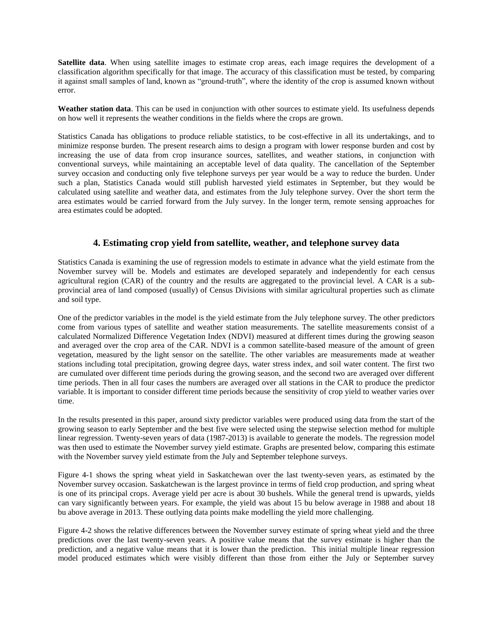**Satellite data**. When using satellite images to estimate crop areas, each image requires the development of a classification algorithm specifically for that image. The accuracy of this classification must be tested, by comparing it against small samples of land, known as "ground-truth", where the identity of the crop is assumed known without error.

**Weather station data**. This can be used in conjunction with other sources to estimate yield. Its usefulness depends on how well it represents the weather conditions in the fields where the crops are grown.

Statistics Canada has obligations to produce reliable statistics, to be cost-effective in all its undertakings, and to minimize response burden. The present research aims to design a program with lower response burden and cost by increasing the use of data from crop insurance sources, satellites, and weather stations, in conjunction with conventional surveys, while maintaining an acceptable level of data quality. The cancellation of the September survey occasion and conducting only five telephone surveys per year would be a way to reduce the burden. Under such a plan, Statistics Canada would still publish harvested yield estimates in September, but they would be calculated using satellite and weather data, and estimates from the July telephone survey. Over the short term the area estimates would be carried forward from the July survey. In the longer term, remote sensing approaches for area estimates could be adopted.

## **4. Estimating crop yield from satellite, weather, and telephone survey data**

Statistics Canada is examining the use of regression models to estimate in advance what the yield estimate from the November survey will be. Models and estimates are developed separately and independently for each census agricultural region (CAR) of the country and the results are aggregated to the provincial level. A CAR is a subprovincial area of land composed (usually) of Census Divisions with similar agricultural properties such as climate and soil type.

One of the predictor variables in the model is the yield estimate from the July telephone survey. The other predictors come from various types of satellite and weather station measurements. The satellite measurements consist of a calculated Normalized Difference Vegetation Index (NDVI) measured at different times during the growing season and averaged over the crop area of the CAR. NDVI is a common satellite-based measure of the amount of green vegetation, measured by the light sensor on the satellite. The other variables are measurements made at weather stations including total precipitation, growing degree days, water stress index, and soil water content. The first two are cumulated over different time periods during the growing season, and the second two are averaged over different time periods. Then in all four cases the numbers are averaged over all stations in the CAR to produce the predictor variable. It is important to consider different time periods because the sensitivity of crop yield to weather varies over time.

In the results presented in this paper, around sixty predictor variables were produced using data from the start of the growing season to early September and the best five were selected using the stepwise selection method for multiple linear regression. Twenty-seven years of data (1987-2013) is available to generate the models. The regression model was then used to estimate the November survey yield estimate. Graphs are presented below, comparing this estimate with the November survey yield estimate from the July and September telephone surveys.

Figure 4-1 shows the spring wheat yield in Saskatchewan over the last twenty-seven years, as estimated by the November survey occasion. Saskatchewan is the largest province in terms of field crop production, and spring wheat is one of its principal crops. Average yield per acre is about 30 bushels. While the general trend is upwards, yields can vary significantly between years. For example, the yield was about 15 bu below average in 1988 and about 18 bu above average in 2013. These outlying data points make modelling the yield more challenging.

Figure 4-2 shows the relative differences between the November survey estimate of spring wheat yield and the three predictions over the last twenty-seven years. A positive value means that the survey estimate is higher than the prediction, and a negative value means that it is lower than the prediction. This initial multiple linear regression model produced estimates which were visibly different than those from either the July or September survey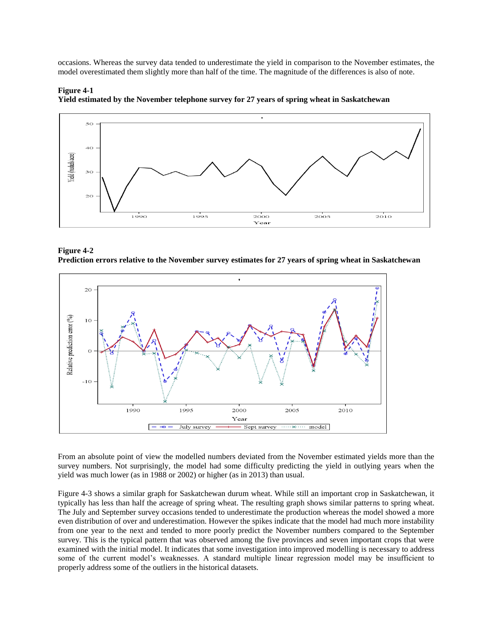occasions. Whereas the survey data tended to underestimate the yield in comparison to the November estimates, the model overestimated them slightly more than half of the time. The magnitude of the differences is also of note.



**Yield estimated by the November telephone survey for 27 years of spring wheat in Saskatchewan**

**Figure 4-1**

**Figure 4-2 Prediction errors relative to the November survey estimates for 27 years of spring wheat in Saskatchewan**



From an absolute point of view the modelled numbers deviated from the November estimated yields more than the survey numbers. Not surprisingly, the model had some difficulty predicting the yield in outlying years when the yield was much lower (as in 1988 or 2002) or higher (as in 2013) than usual.

Figure 4-3 shows a similar graph for Saskatchewan durum wheat. While still an important crop in Saskatchewan, it typically has less than half the acreage of spring wheat. The resulting graph shows similar patterns to spring wheat. The July and September survey occasions tended to underestimate the production whereas the model showed a more even distribution of over and underestimation. However the spikes indicate that the model had much more instability from one year to the next and tended to more poorly predict the November numbers compared to the September survey. This is the typical pattern that was observed among the five provinces and seven important crops that were examined with the initial model. It indicates that some investigation into improved modelling is necessary to address some of the current model's weaknesses. A standard multiple linear regression model may be insufficient to properly address some of the outliers in the historical datasets.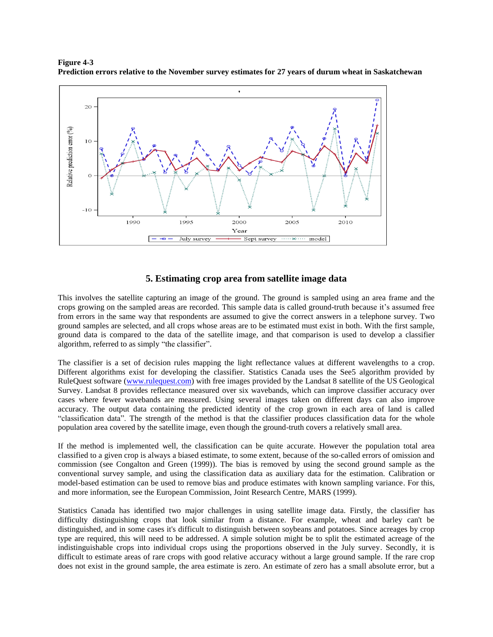

**Figure 4-3 Prediction errors relative to the November survey estimates for 27 years of durum wheat in Saskatchewan**

## **5. Estimating crop area from satellite image data**

This involves the satellite capturing an image of the ground. The ground is sampled using an area frame and the crops growing on the sampled areas are recorded. This sample data is called ground-truth because it's assumed free from errors in the same way that respondents are assumed to give the correct answers in a telephone survey. Two ground samples are selected, and all crops whose areas are to be estimated must exist in both. With the first sample, ground data is compared to the data of the satellite image, and that comparison is used to develop a classifier algorithm, referred to as simply "the classifier".

The classifier is a set of decision rules mapping the light reflectance values at different wavelengths to a crop. Different algorithms exist for developing the classifier. Statistics Canada uses the See5 algorithm provided by RuleQuest software [\(www.rulequest.com\)](http://www.rulequest.com/) with free images provided by the Landsat 8 satellite of the US Geological Survey. Landsat 8 provides reflectance measured over six wavebands, which can improve classifier accuracy over cases where fewer wavebands are measured. Using several images taken on different days can also improve accuracy. The output data containing the predicted identity of the crop grown in each area of land is called "classification data". The strength of the method is that the classifier produces classification data for the whole population area covered by the satellite image, even though the ground-truth covers a relatively small area.

If the method is implemented well, the classification can be quite accurate. However the population total area classified to a given crop is always a biased estimate, to some extent, because of the so-called errors of omission and commission (see Congalton and Green (1999)). The bias is removed by using the second ground sample as the conventional survey sample, and using the classification data as auxiliary data for the estimation. Calibration or model-based estimation can be used to remove bias and produce estimates with known sampling variance. For this, and more information, see the European Commission, Joint Research Centre, MARS (1999).

Statistics Canada has identified two major challenges in using satellite image data. Firstly, the classifier has difficulty distinguishing crops that look similar from a distance. For example, wheat and barley can't be distinguished, and in some cases it's difficult to distinguish between soybeans and potatoes. Since acreages by crop type are required, this will need to be addressed. A simple solution might be to split the estimated acreage of the indistinguishable crops into individual crops using the proportions observed in the July survey. Secondly, it is difficult to estimate areas of rare crops with good relative accuracy without a large ground sample. If the rare crop does not exist in the ground sample, the area estimate is zero. An estimate of zero has a small absolute error, but a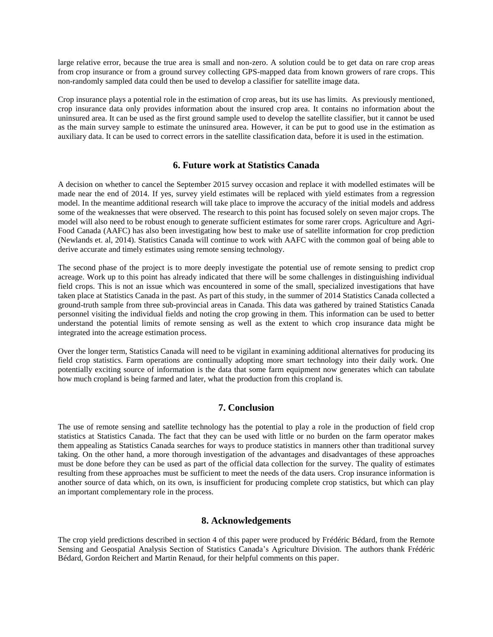large relative error, because the true area is small and non-zero. A solution could be to get data on rare crop areas from crop insurance or from a ground survey collecting GPS-mapped data from known growers of rare crops. This non-randomly sampled data could then be used to develop a classifier for satellite image data.

Crop insurance plays a potential role in the estimation of crop areas, but its use has limits. As previously mentioned, crop insurance data only provides information about the insured crop area. It contains no information about the uninsured area. It can be used as the first ground sample used to develop the satellite classifier, but it cannot be used as the main survey sample to estimate the uninsured area. However, it can be put to good use in the estimation as auxiliary data. It can be used to correct errors in the satellite classification data, before it is used in the estimation.

### **6. Future work at Statistics Canada**

A decision on whether to cancel the September 2015 survey occasion and replace it with modelled estimates will be made near the end of 2014. If yes, survey yield estimates will be replaced with yield estimates from a regression model. In the meantime additional research will take place to improve the accuracy of the initial models and address some of the weaknesses that were observed. The research to this point has focused solely on seven major crops. The model will also need to be robust enough to generate sufficient estimates for some rarer crops. Agriculture and Agri-Food Canada (AAFC) has also been investigating how best to make use of satellite information for crop prediction (Newlands et. al, 2014). Statistics Canada will continue to work with AAFC with the common goal of being able to derive accurate and timely estimates using remote sensing technology.

The second phase of the project is to more deeply investigate the potential use of remote sensing to predict crop acreage. Work up to this point has already indicated that there will be some challenges in distinguishing individual field crops. This is not an issue which was encountered in some of the small, specialized investigations that have taken place at Statistics Canada in the past. As part of this study, in the summer of 2014 Statistics Canada collected a ground-truth sample from three sub-provincial areas in Canada. This data was gathered by trained Statistics Canada personnel visiting the individual fields and noting the crop growing in them. This information can be used to better understand the potential limits of remote sensing as well as the extent to which crop insurance data might be integrated into the acreage estimation process.

Over the longer term, Statistics Canada will need to be vigilant in examining additional alternatives for producing its field crop statistics. Farm operations are continually adopting more smart technology into their daily work. One potentially exciting source of information is the data that some farm equipment now generates which can tabulate how much cropland is being farmed and later, what the production from this cropland is.

#### **7. Conclusion**

The use of remote sensing and satellite technology has the potential to play a role in the production of field crop statistics at Statistics Canada. The fact that they can be used with little or no burden on the farm operator makes them appealing as Statistics Canada searches for ways to produce statistics in manners other than traditional survey taking. On the other hand, a more thorough investigation of the advantages and disadvantages of these approaches must be done before they can be used as part of the official data collection for the survey. The quality of estimates resulting from these approaches must be sufficient to meet the needs of the data users. Crop insurance information is another source of data which, on its own, is insufficient for producing complete crop statistics, but which can play an important complementary role in the process.

#### **8. Acknowledgements**

The crop yield predictions described in section 4 of this paper were produced by Frédéric Bédard, from the Remote Sensing and Geospatial Analysis Section of Statistics Canada's Agriculture Division. The authors thank Frédéric Bédard, Gordon Reichert and Martin Renaud, for their helpful comments on this paper.